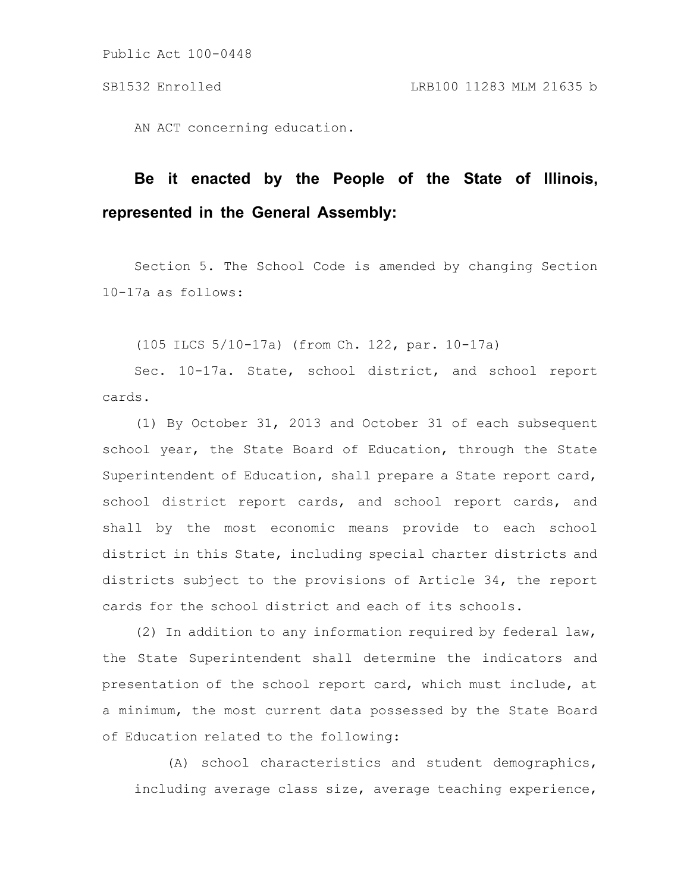AN ACT concerning education.

# **Be it enacted by the People of the State of Illinois, represented in the General Assembly:**

Section 5. The School Code is amended by changing Section 10-17a as follows:

(105 ILCS 5/10-17a) (from Ch. 122, par. 10-17a)

Sec. 10-17a. State, school district, and school report cards.

(1) By October 31, 2013 and October 31 of each subsequent school year, the State Board of Education, through the State Superintendent of Education, shall prepare a State report card, school district report cards, and school report cards, and shall by the most economic means provide to each school district in this State, including special charter districts and districts subject to the provisions of Article 34, the report cards for the school district and each of its schools.

(2) In addition to any information required by federal law, the State Superintendent shall determine the indicators and presentation of the school report card, which must include, at a minimum, the most current data possessed by the State Board of Education related to the following:

(A) school characteristics and student demographics, including average class size, average teaching experience,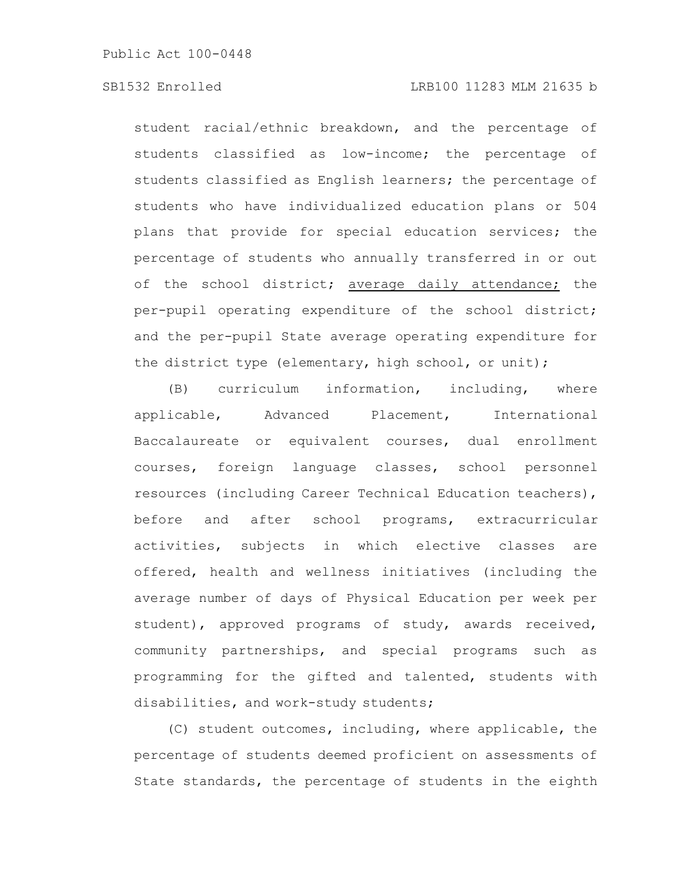### SB1532 Enrolled LRB100 11283 MLM 21635 b

student racial/ethnic breakdown, and the percentage of students classified as low-income; the percentage of students classified as English learners; the percentage of students who have individualized education plans or 504 plans that provide for special education services; the percentage of students who annually transferred in or out of the school district; average daily attendance; the per-pupil operating expenditure of the school district; and the per-pupil State average operating expenditure for the district type (elementary, high school, or unit);

(B) curriculum information, including, where applicable, Advanced Placement, International Baccalaureate or equivalent courses, dual enrollment courses, foreign language classes, school personnel resources (including Career Technical Education teachers), before and after school programs, extracurricular activities, subjects in which elective classes are offered, health and wellness initiatives (including the average number of days of Physical Education per week per student), approved programs of study, awards received, community partnerships, and special programs such as programming for the gifted and talented, students with disabilities, and work-study students;

(C) student outcomes, including, where applicable, the percentage of students deemed proficient on assessments of State standards, the percentage of students in the eighth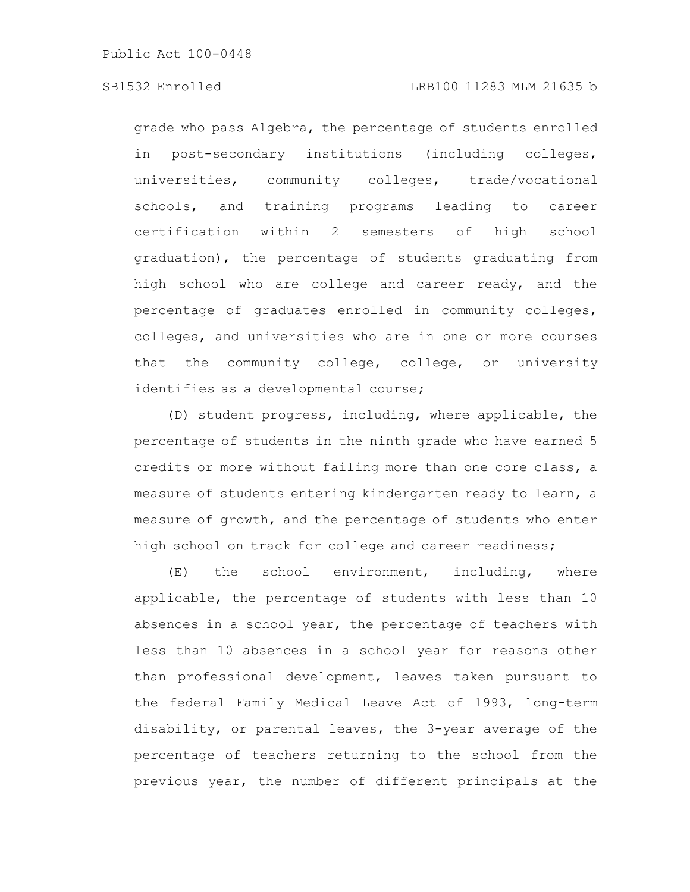### SB1532 Enrolled LRB100 11283 MLM 21635 b

grade who pass Algebra, the percentage of students enrolled in post-secondary institutions (including colleges, universities, community colleges, trade/vocational schools, and training programs leading to career certification within 2 semesters of high school graduation), the percentage of students graduating from high school who are college and career ready, and the percentage of graduates enrolled in community colleges, colleges, and universities who are in one or more courses that the community college, college, or university identifies as a developmental course;

(D) student progress, including, where applicable, the percentage of students in the ninth grade who have earned 5 credits or more without failing more than one core class, a measure of students entering kindergarten ready to learn, a measure of growth, and the percentage of students who enter high school on track for college and career readiness;

(E) the school environment, including, where applicable, the percentage of students with less than 10 absences in a school year, the percentage of teachers with less than 10 absences in a school year for reasons other than professional development, leaves taken pursuant to the federal Family Medical Leave Act of 1993, long-term disability, or parental leaves, the 3-year average of the percentage of teachers returning to the school from the previous year, the number of different principals at the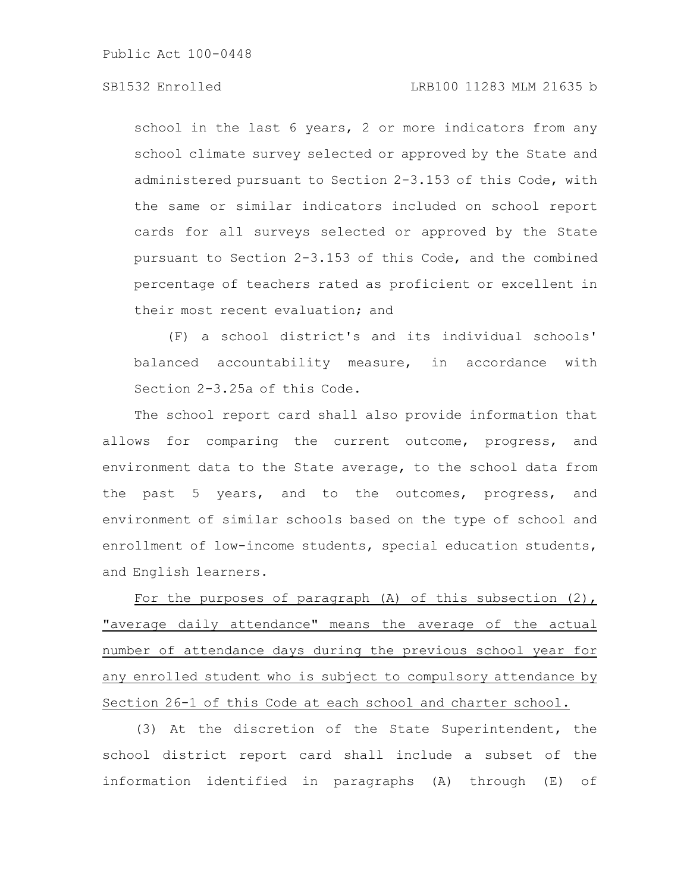## SB1532 Enrolled LRB100 11283 MLM 21635 b

school in the last 6 years, 2 or more indicators from any school climate survey selected or approved by the State and administered pursuant to Section 2-3.153 of this Code, with the same or similar indicators included on school report cards for all surveys selected or approved by the State pursuant to Section 2-3.153 of this Code, and the combined percentage of teachers rated as proficient or excellent in their most recent evaluation; and

(F) a school district's and its individual schools' balanced accountability measure, in accordance with Section 2-3.25a of this Code.

The school report card shall also provide information that allows for comparing the current outcome, progress, and environment data to the State average, to the school data from the past 5 years, and to the outcomes, progress, and environment of similar schools based on the type of school and enrollment of low-income students, special education students, and English learners.

For the purposes of paragraph (A) of this subsection (2), "average daily attendance" means the average of the actual number of attendance days during the previous school year for any enrolled student who is subject to compulsory attendance by Section 26-1 of this Code at each school and charter school.

(3) At the discretion of the State Superintendent, the school district report card shall include a subset of the information identified in paragraphs (A) through (E) of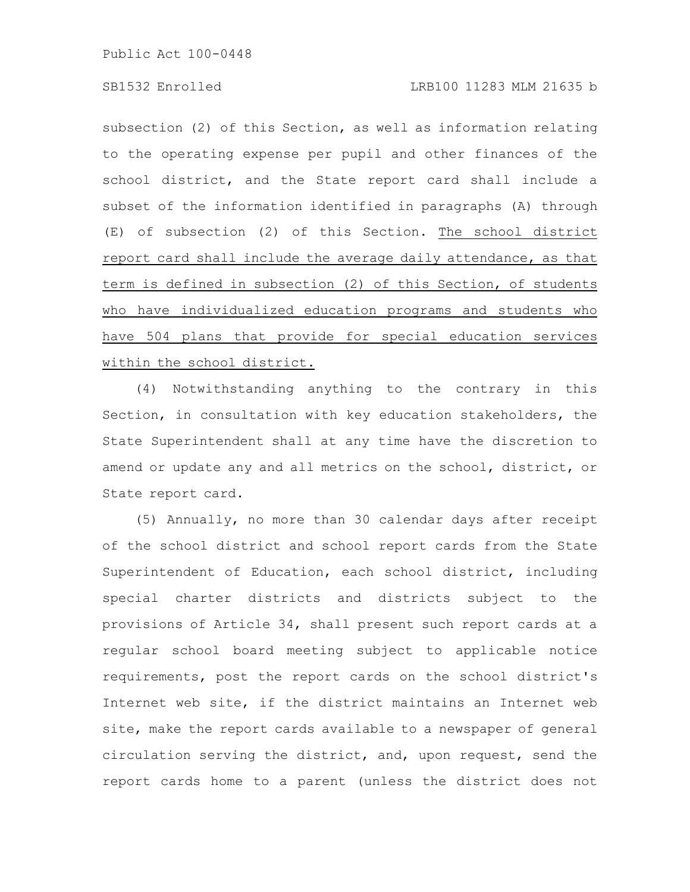subsection (2) of this Section, as well as information relating to the operating expense per pupil and other finances of the school district, and the State report card shall include a subset of the information identified in paragraphs (A) through (E) of subsection (2) of this Section. The school district report card shall include the average daily attendance, as that term is defined in subsection (2) of this Section, of students who have individualized education programs and students who have 504 plans that provide for special education services within the school district.

(4) Notwithstanding anything to the contrary in this Section, in consultation with key education stakeholders, the State Superintendent shall at any time have the discretion to amend or update any and all metrics on the school, district, or State report card.

(5) Annually, no more than 30 calendar days after receipt of the school district and school report cards from the State Superintendent of Education, each school district, including special charter districts and districts subject to the provisions of Article 34, shall present such report cards at a regular school board meeting subject to applicable notice requirements, post the report cards on the school district's Internet web site, if the district maintains an Internet web site, make the report cards available to a newspaper of general circulation serving the district, and, upon request, send the report cards home to a parent (unless the district does not